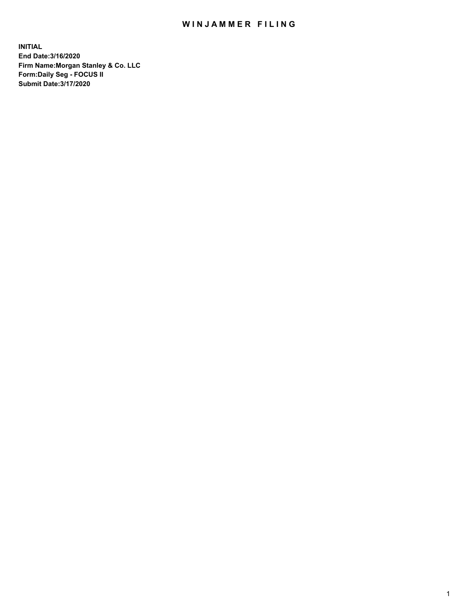## WIN JAMMER FILING

**INITIAL End Date:3/16/2020 Firm Name:Morgan Stanley & Co. LLC Form:Daily Seg - FOCUS II Submit Date:3/17/2020**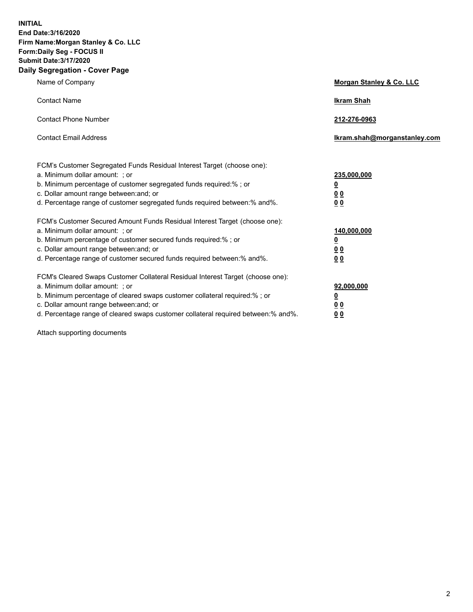**INITIAL End Date:3/16/2020 Firm Name:Morgan Stanley & Co. LLC Form:Daily Seg - FOCUS II Submit Date:3/17/2020 Daily Segregation - Cover Page**

| Name of Company                                                                                                                                                                                                                                                                                                                | Morgan Stanley & Co. LLC                                |
|--------------------------------------------------------------------------------------------------------------------------------------------------------------------------------------------------------------------------------------------------------------------------------------------------------------------------------|---------------------------------------------------------|
| <b>Contact Name</b>                                                                                                                                                                                                                                                                                                            | <b>Ikram Shah</b>                                       |
| <b>Contact Phone Number</b>                                                                                                                                                                                                                                                                                                    | 212-276-0963                                            |
| <b>Contact Email Address</b>                                                                                                                                                                                                                                                                                                   | Ikram.shah@morganstanley.com                            |
| FCM's Customer Segregated Funds Residual Interest Target (choose one):<br>a. Minimum dollar amount: ; or<br>b. Minimum percentage of customer segregated funds required:% ; or<br>c. Dollar amount range between: and; or<br>d. Percentage range of customer segregated funds required between:% and%.                         | 235,000,000<br><u>0</u><br><u>00</u><br><u>00</u>       |
| FCM's Customer Secured Amount Funds Residual Interest Target (choose one):<br>a. Minimum dollar amount: ; or<br>b. Minimum percentage of customer secured funds required:%; or<br>c. Dollar amount range between: and; or<br>d. Percentage range of customer secured funds required between:% and%.                            | 140,000,000<br><u>0</u><br><u>0 0</u><br>0 <sub>0</sub> |
| FCM's Cleared Swaps Customer Collateral Residual Interest Target (choose one):<br>a. Minimum dollar amount: ; or<br>b. Minimum percentage of cleared swaps customer collateral required:% ; or<br>c. Dollar amount range between: and; or<br>d. Percentage range of cleared swaps customer collateral required between:% and%. | 92,000,000<br><u>0</u><br><u>00</u><br>00               |

Attach supporting documents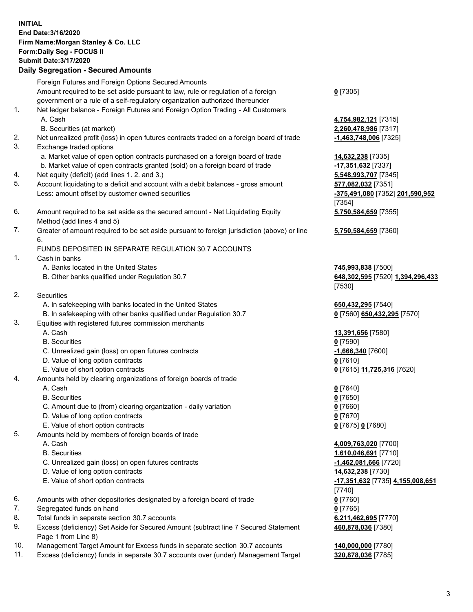## **INITIAL End Date:3/16/2020 Firm Name:Morgan Stanley & Co. LLC Form:Daily Seg - FOCUS II Submit Date:3/17/2020 Daily Segregation - Secured Amounts** Foreign Futures and Foreign Options Secured Amounts Amount required to be set aside pursuant to law, rule or regulation of a foreign government or a rule of a self-regulatory organization authorized thereunder **0** [7305] 1. Net ledger balance - Foreign Futures and Foreign Option Trading - All Customers A. Cash **4,754,982,121** [7315] B. Securities (at market) **2,260,478,986** [7317] 2. Net unrealized profit (loss) in open futures contracts traded on a foreign board of trade **-1,463,748,006** [7325] 3. Exchange traded options a. Market value of open option contracts purchased on a foreign board of trade **14,632,238** [7335] b. Market value of open contracts granted (sold) on a foreign board of trade **-17,351,632** [7337] 4. Net equity (deficit) (add lines 1. 2. and 3.) **5,548,993,707** [7345] 5. Account liquidating to a deficit and account with a debit balances - gross amount **577,082,032** [7351] Less: amount offset by customer owned securities **-375,491,080** [7352] **201,590,952** [7354] 6. Amount required to be set aside as the secured amount - Net Liquidating Equity Method (add lines 4 and 5) **5,750,584,659** [7355] 7. Greater of amount required to be set aside pursuant to foreign jurisdiction (above) or line 6. **5,750,584,659** [7360] FUNDS DEPOSITED IN SEPARATE REGULATION 30.7 ACCOUNTS 1. Cash in banks A. Banks located in the United States **745,993,838** [7500] B. Other banks qualified under Regulation 30.7 **648,302,595** [7520] **1,394,296,433** [7530] 2. Securities A. In safekeeping with banks located in the United States **650,432,295** [7540] B. In safekeeping with other banks qualified under Regulation 30.7 **0** [7560] **650,432,295** [7570] 3. Equities with registered futures commission merchants A. Cash **13,391,656** [7580] B. Securities **0** [7590] C. Unrealized gain (loss) on open futures contracts **-1,666,340** [7600] D. Value of long option contracts **0** [7610] E. Value of short option contracts **0** [7615] **11,725,316** [7620] 4. Amounts held by clearing organizations of foreign boards of trade A. Cash **0** [7640] B. Securities **0** [7650] C. Amount due to (from) clearing organization - daily variation **0** [7660] D. Value of long option contracts **0** [7670] E. Value of short option contracts **0** [7675] **0** [7680] 5. Amounts held by members of foreign boards of trade A. Cash **4,009,763,020** [7700] B. Securities **1,610,046,691** [7710] C. Unrealized gain (loss) on open futures contracts **-1,462,081,666** [7720] D. Value of long option contracts **14,632,238** [7730] E. Value of short option contracts **-17,351,632** [7735] **4,155,008,651** [7740] 6. Amounts with other depositories designated by a foreign board of trade **0** [7760] 7. Segregated funds on hand **0** [7765]

- 8. Total funds in separate section 30.7 accounts **6,211,462,695** [7770]
- 9. Excess (deficiency) Set Aside for Secured Amount (subtract line 7 Secured Statement Page 1 from Line 8)
- 10. Management Target Amount for Excess funds in separate section 30.7 accounts **140,000,000** [7780]
- 11. Excess (deficiency) funds in separate 30.7 accounts over (under) Management Target **320,878,036** [7785]

**460,878,036** [7380]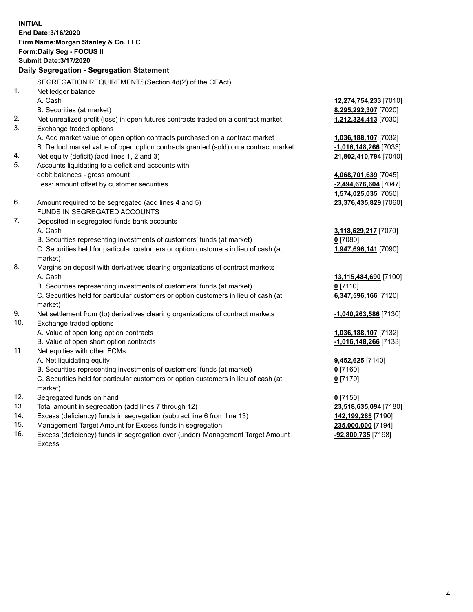**INITIAL End Date:3/16/2020 Firm Name:Morgan Stanley & Co. LLC Form:Daily Seg - FOCUS II Submit Date:3/17/2020 Daily Segregation - Segregation Statement** SEGREGATION REQUIREMENTS(Section 4d(2) of the CEAct) 1. Net ledger balance A. Cash **12,274,754,233** [7010] B. Securities (at market) **8,295,292,307** [7020] 2. Net unrealized profit (loss) in open futures contracts traded on a contract market **1,212,324,413** [7030] 3. Exchange traded options A. Add market value of open option contracts purchased on a contract market **1,036,188,107** [7032] B. Deduct market value of open option contracts granted (sold) on a contract market **-1,016,148,266** [7033] 4. Net equity (deficit) (add lines 1, 2 and 3) **21,802,410,794** [7040] 5. Accounts liquidating to a deficit and accounts with debit balances - gross amount **4,068,701,639** [7045] Less: amount offset by customer securities **-2,494,676,604** [7047] **1,574,025,035** [7050] 6. Amount required to be segregated (add lines 4 and 5) **23,376,435,829** [7060] FUNDS IN SEGREGATED ACCOUNTS 7. Deposited in segregated funds bank accounts A. Cash **3,118,629,217** [7070] B. Securities representing investments of customers' funds (at market) **0** [7080] C. Securities held for particular customers or option customers in lieu of cash (at market) **1,947,696,141** [7090] 8. Margins on deposit with derivatives clearing organizations of contract markets A. Cash **13,115,484,690** [7100] B. Securities representing investments of customers' funds (at market) **0** [7110] C. Securities held for particular customers or option customers in lieu of cash (at market) **6,347,596,166** [7120] 9. Net settlement from (to) derivatives clearing organizations of contract markets **-1,040,263,586** [7130] 10. Exchange traded options A. Value of open long option contracts **1,036,188,107** [7132] B. Value of open short option contracts **-1,016,148,266** [7133] 11. Net equities with other FCMs A. Net liquidating equity **9,452,625** [7140] B. Securities representing investments of customers' funds (at market) **0** [7160] C. Securities held for particular customers or option customers in lieu of cash (at market) **0** [7170] 12. Segregated funds on hand **0** [7150] 13. Total amount in segregation (add lines 7 through 12) **23,518,635,094** [7180] 14. Excess (deficiency) funds in segregation (subtract line 6 from line 13) **142,199,265** [7190] 15. Management Target Amount for Excess funds in segregation **235,000,000** [7194]

16. Excess (deficiency) funds in segregation over (under) Management Target Amount Excess

**-92,800,735** [7198]